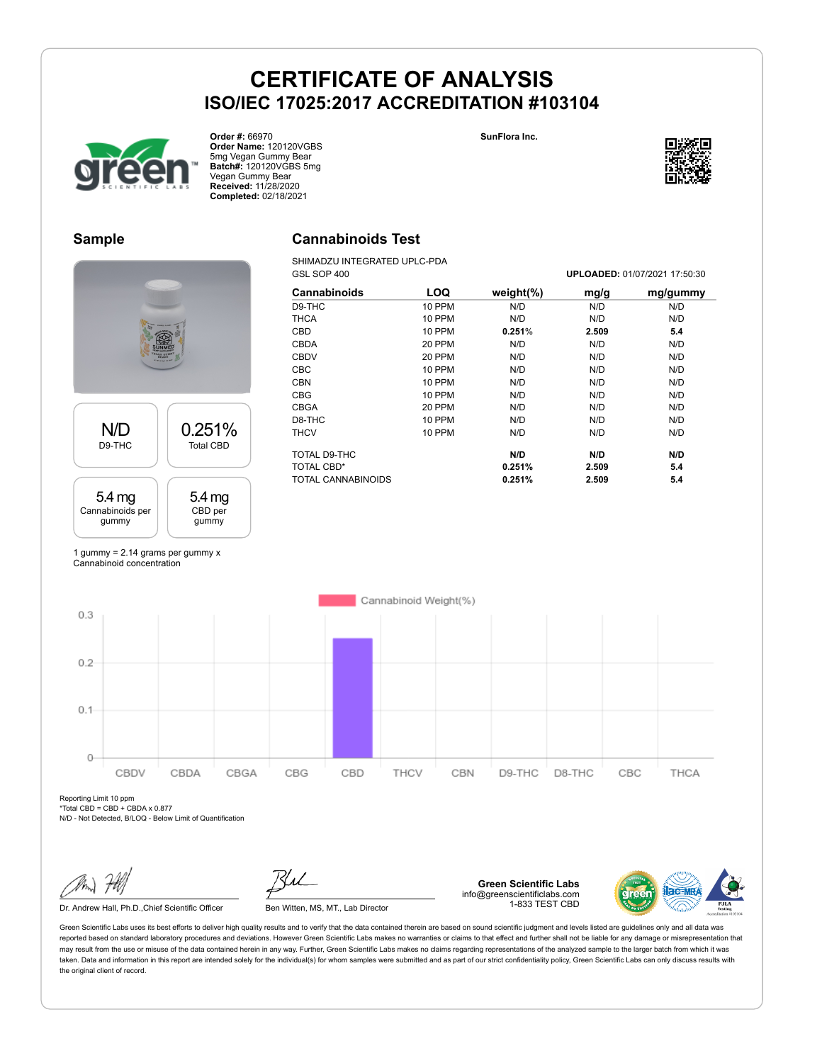**SunFlora Inc.**

GSL SOP 400 **UPLOADED:** 01/07/2021 17:50:30



**Order #:** 66970 **Order Name:** 120120VGBS 5mg Vegan Gummy Bear **Batch#:** 120120VGBS 5mg Vegan Gummy Bear **Received:** 11/28/2020 **Completed:** 02/18/2021

### **Sample**

# N/D D9-THC 0.251% Total CBD 5.4 mg Cannabinoids per gummy 5.4 mg CBD per gummy

1 gummy = 2.14 grams per gummy x Cannabinoid concentration

# **Cannabinoids Test**

SHIMADZU INTEGRATED UPLC-PDA<br>GSL SOP 400

| Cannabinoids       | LOQ           | weight $(\%)$ | mg/g  | mg/gummy |
|--------------------|---------------|---------------|-------|----------|
| D9-THC             | <b>10 PPM</b> | N/D           | N/D   | N/D      |
| <b>THCA</b>        | <b>10 PPM</b> | N/D           | N/D   | N/D      |
| CBD                | <b>10 PPM</b> | 0.251%        | 2.509 | 5.4      |
| <b>CBDA</b>        | 20 PPM        | N/D           | N/D   | N/D      |
| <b>CBDV</b>        | 20 PPM        | N/D           | N/D   | N/D      |
| <b>CBC</b>         | <b>10 PPM</b> | N/D           | N/D   | N/D      |
| <b>CBN</b>         | <b>10 PPM</b> | N/D           | N/D   | N/D      |
| <b>CBG</b>         | <b>10 PPM</b> | N/D           | N/D   | N/D      |
| <b>CBGA</b>        | 20 PPM        | N/D           | N/D   | N/D      |
| D8-THC             | <b>10 PPM</b> | N/D           | N/D   | N/D      |
| <b>THCV</b>        | <b>10 PPM</b> | N/D           | N/D   | N/D      |
| TOTAL D9-THC       |               | N/D           | N/D   | N/D      |
| TOTAL CBD*         |               | 0.251%        | 2.509 | 5.4      |
| TOTAL CANNABINOIDS |               | 0.251%        | 2.509 | 5.4      |

Cannabinoid Weight(%)  $0.3$  $0.2$  $0.1$ 

CBDV CBDA CBGA CBG CBD Reporting Limit 10 ppm  $*Total CBD = CBD + CBDA \times 0.877$ N/D - Not Detected, B/LOQ - Below Limit of Quantification

 $\Omega$ 

Dr. Andrew Hall, Ph.D., Chief Scientific Officer Ben Witten, MS, MT., Lab Director

**Green Scientific Labs** info@greenscientificlabs.com 1-833 TEST CBD

D9-THC

D8-THC

CBC



THCA

Green Scientific Labs uses its best efforts to deliver high quality results and to verify that the data contained therein are based on sound scientific judgment and levels listed are guidelines only and all data was reported based on standard laboratory procedures and deviations. However Green Scientific Labs makes no warranties or claims to that effect and further shall not be liable for any damage or misrepresentation that may result from the use or misuse of the data contained herein in any way. Further, Green Scientific Labs makes no claims regarding representations of the analyzed sample to the larger batch from which it was taken. Data and information in this report are intended solely for the individual(s) for whom samples were submitted and as part of our strict confidentiality policy, Green Scientific Labs can only discuss results with the original client of record.

THCV

CBN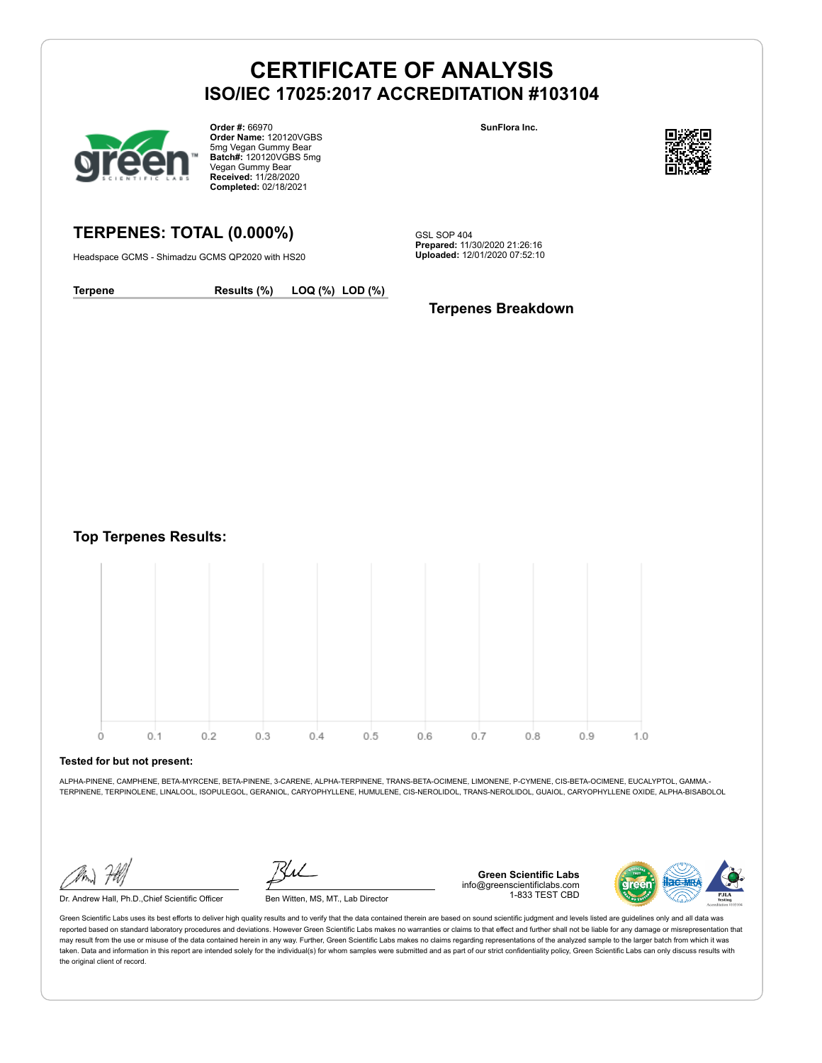

**Order #:** 66970 **Order Name:** 120120VGBS 5mg Vegan Gummy Bear **Batch#:** 120120VGBS 5mg Vegan Gummy Bear **Received:** 11/28/2020 **Completed:** 02/18/2021

### **TERPENES: TOTAL (0.000%)**

Headspace GCMS - Shimadzu GCMS QP2020 with HS20

**SunFlora Inc.**



GSL SOP 404 **Prepared:** 11/30/2020 21:26:16 **Uploaded:** 12/01/2020 07:52:10

**Terpene Results (%) LOQ (%) LOD (%)**

#### **Terpenes Breakdown**

**Top Terpenes Results:**



#### **Tested for but not present:**

ALPHA-PINENE, CAMPHENE, BETA-MYRCENE, BETA-PINENE, 3-CARENE, ALPHA-TERPINENE, TRANS-BETA-OCIMENE, LIMONENE, P-CYMENE, CIS-BETA-OCIMENE, EUCALYPTOL, GAMMA.- TERPINENE, TERPINOLENE, LINALOOL, ISOPULEGOL, GERANIOL, CARYOPHYLLENE, HUMULENE, CIS-NEROLIDOL, TRANS-NEROLIDOL, GUAIOL, CARYOPHYLLENE OXIDE, ALPHA-BISABOLOL

Dr. Andrew Hall, Ph.D.,Chief Scientific Officer Ben Witten, MS, MT., Lab Director

**Green Scientific Labs** info@greenscientificlabs.com 1-833 TEST CBD

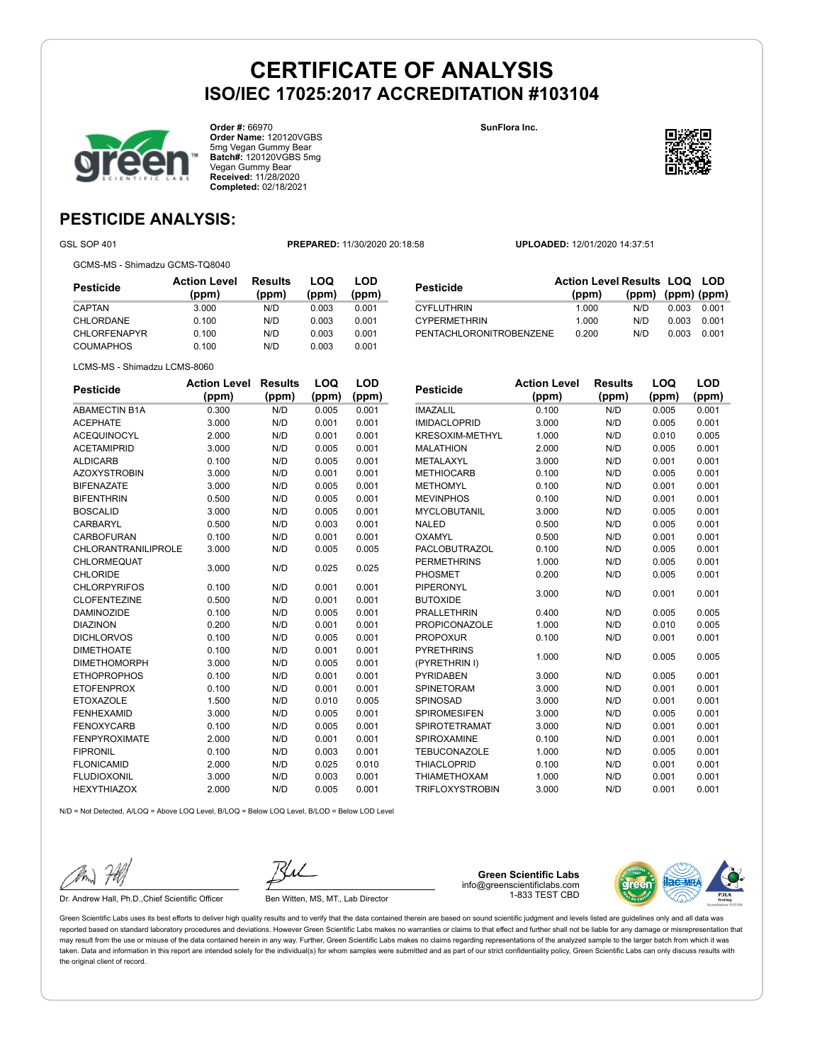



**Order #:** 66970 **Order Name:** 120120VGBS 5mg Vegan Gummy Bear **Batch#:** 120120VGBS 5mg Vegan Gummy Bear **Received:** 11/28/2020 **Completed:** 02/18/2021

**SunFlora Inc.**



**LOD**

### **PESTICIDE ANALYSIS:**

GSL SOP 401 **PREPARED:** 11/30/2020 20:18:58 **UPLOADED:** 12/01/2020 14:37:51

GCMS-MS - Shimadzu GCMS-TQ8040

| Pesticide           | <b>Action Level</b><br>(ppm) | <b>Results</b><br>(ppm) | LOQ<br>(ppm) | LOD<br>(ppm) |
|---------------------|------------------------------|-------------------------|--------------|--------------|
| CAPTAN              | 3.000                        | N/D                     | 0.003        | 0.001        |
| CHLORDANE           | 0.100                        | N/D                     | 0.003        | 0.001        |
| <b>CHLORFENAPYR</b> | 0.100                        | N/D                     | 0.003        | 0.001        |
| <b>COUMAPHOS</b>    | 0.100                        | N/D                     | 0.003        | 0.001        |

|                         | <b>Action Level Results LOQ LOD</b> |                   |       |       |
|-------------------------|-------------------------------------|-------------------|-------|-------|
| <b>Pesticide</b>        | (ppm)                               | (ppm) (ppm) (ppm) |       |       |
| <b>CYFLUTHRIN</b>       | 1.000                               | N/D               | 0.003 | 0.001 |
| <b>CYPERMETHRIN</b>     | 1.000                               | N/D               | 0.003 | 0.001 |
| PENTACHLORONITROBENZENE | 0.200                               | N/D               | 0.003 | 0.001 |

LCMS-MS - Shimadzu LCMS-8060

| (ppm)<br>(ppm)<br>(ppm)<br>(ppm)<br>0.300<br>N/D<br>0.005<br>0.001<br>0.001<br>3.000<br>0.001<br>N/D<br><b>ACEQUINOCYL</b><br>2.000<br>0.001<br>0.001<br>N/D<br>0.005<br><b>ACETAMIPRID</b><br>3.000<br>N/D<br>0.001<br><b>ALDICARB</b><br>0.100<br>N/D<br>0.005<br>0.001<br>3.000<br>N/D<br>0.001<br>0.001<br><b>BIFENAZATE</b><br>3.000<br>N/D<br>0.005<br>0.001<br><b>BIFENTHRIN</b><br>0.500<br>N/D<br>0.005<br>0.001<br><b>BOSCALID</b><br>3.000<br>N/D<br>0.005<br>0.001<br><b>CARBARYL</b><br>0.500<br>0.003<br>0.001<br>N/D<br><b>CARBOFURAN</b><br>0.100<br>0.001<br>N/D<br>0.001<br><b>CHLORANTRANILIPROLE</b><br>3.000<br>N/D<br>0.005<br>0.005<br>CHLORMEQUAT<br>N/D<br>3.000<br>0.025<br>0.025<br><b>CHLORIDE</b><br><b>CHLORPYRIFOS</b><br>N/D<br>0.100<br>0.001<br>0.001<br><b>CLOFENTEZINE</b><br>N/D<br>0.001<br>0.001<br>0.500<br><b>DAMINOZIDE</b><br>0.100<br>0.005<br>0.001<br>N/D<br><b>DIAZINON</b><br>0.001<br>0.001<br>0.200<br>N/D<br><b>DICHLORVOS</b><br>0.100<br>N/D<br>0.005<br>0.001<br><b>DIMETHOATE</b><br>0.100<br>N/D<br>0.001<br>0.001<br><b>DIMETHOMORPH</b><br>3.000<br>N/D<br>0.005<br>0.001<br><b>ETHOPROPHOS</b><br>0.100<br>N/D<br>0.001<br>0.001<br><b>ETOFENPROX</b><br>0.100<br>0.001<br>0.001<br>N/D<br><b>ETOXAZOLE</b><br>1.500<br>N/D<br>0.010<br>0.005<br><b>FENHEXAMID</b><br>3.000<br>N/D<br>0.005<br>0.001<br>0.005<br>0.001<br><b>FENOXYCARB</b><br>0.100<br>N/D<br><b>FENPYROXIMATE</b><br>2.000<br>N/D<br>0.001<br>0.001<br><b>FIPRONIL</b><br>0.100<br>N/D<br>0.003<br>0.001<br><b>FLONICAMID</b><br>2.000<br>N/D<br>0.025<br>0.010<br><b>FLUDIOXONIL</b><br>3.000<br>0.003<br>0.001<br>N/D<br><b>HEXYTHIAZOX</b><br>2.000<br>N/D<br>0.005<br>0.001 | <b>Pesticide</b>     | <b>Action Level</b> | <b>Results</b> | LOQ | LOD |
|--------------------------------------------------------------------------------------------------------------------------------------------------------------------------------------------------------------------------------------------------------------------------------------------------------------------------------------------------------------------------------------------------------------------------------------------------------------------------------------------------------------------------------------------------------------------------------------------------------------------------------------------------------------------------------------------------------------------------------------------------------------------------------------------------------------------------------------------------------------------------------------------------------------------------------------------------------------------------------------------------------------------------------------------------------------------------------------------------------------------------------------------------------------------------------------------------------------------------------------------------------------------------------------------------------------------------------------------------------------------------------------------------------------------------------------------------------------------------------------------------------------------------------------------------------------------------------------------------------------------------------------------------------------------------------------------------------------|----------------------|---------------------|----------------|-----|-----|
|                                                                                                                                                                                                                                                                                                                                                                                                                                                                                                                                                                                                                                                                                                                                                                                                                                                                                                                                                                                                                                                                                                                                                                                                                                                                                                                                                                                                                                                                                                                                                                                                                                                                                                              |                      |                     |                |     |     |
|                                                                                                                                                                                                                                                                                                                                                                                                                                                                                                                                                                                                                                                                                                                                                                                                                                                                                                                                                                                                                                                                                                                                                                                                                                                                                                                                                                                                                                                                                                                                                                                                                                                                                                              | <b>ABAMECTIN B1A</b> |                     |                |     |     |
|                                                                                                                                                                                                                                                                                                                                                                                                                                                                                                                                                                                                                                                                                                                                                                                                                                                                                                                                                                                                                                                                                                                                                                                                                                                                                                                                                                                                                                                                                                                                                                                                                                                                                                              | <b>ACEPHATE</b>      |                     |                |     |     |
|                                                                                                                                                                                                                                                                                                                                                                                                                                                                                                                                                                                                                                                                                                                                                                                                                                                                                                                                                                                                                                                                                                                                                                                                                                                                                                                                                                                                                                                                                                                                                                                                                                                                                                              |                      |                     |                |     |     |
|                                                                                                                                                                                                                                                                                                                                                                                                                                                                                                                                                                                                                                                                                                                                                                                                                                                                                                                                                                                                                                                                                                                                                                                                                                                                                                                                                                                                                                                                                                                                                                                                                                                                                                              |                      |                     |                |     |     |
|                                                                                                                                                                                                                                                                                                                                                                                                                                                                                                                                                                                                                                                                                                                                                                                                                                                                                                                                                                                                                                                                                                                                                                                                                                                                                                                                                                                                                                                                                                                                                                                                                                                                                                              |                      |                     |                |     |     |
|                                                                                                                                                                                                                                                                                                                                                                                                                                                                                                                                                                                                                                                                                                                                                                                                                                                                                                                                                                                                                                                                                                                                                                                                                                                                                                                                                                                                                                                                                                                                                                                                                                                                                                              | <b>AZOXYSTROBIN</b>  |                     |                |     |     |
|                                                                                                                                                                                                                                                                                                                                                                                                                                                                                                                                                                                                                                                                                                                                                                                                                                                                                                                                                                                                                                                                                                                                                                                                                                                                                                                                                                                                                                                                                                                                                                                                                                                                                                              |                      |                     |                |     |     |
|                                                                                                                                                                                                                                                                                                                                                                                                                                                                                                                                                                                                                                                                                                                                                                                                                                                                                                                                                                                                                                                                                                                                                                                                                                                                                                                                                                                                                                                                                                                                                                                                                                                                                                              |                      |                     |                |     |     |
|                                                                                                                                                                                                                                                                                                                                                                                                                                                                                                                                                                                                                                                                                                                                                                                                                                                                                                                                                                                                                                                                                                                                                                                                                                                                                                                                                                                                                                                                                                                                                                                                                                                                                                              |                      |                     |                |     |     |
|                                                                                                                                                                                                                                                                                                                                                                                                                                                                                                                                                                                                                                                                                                                                                                                                                                                                                                                                                                                                                                                                                                                                                                                                                                                                                                                                                                                                                                                                                                                                                                                                                                                                                                              |                      |                     |                |     |     |
|                                                                                                                                                                                                                                                                                                                                                                                                                                                                                                                                                                                                                                                                                                                                                                                                                                                                                                                                                                                                                                                                                                                                                                                                                                                                                                                                                                                                                                                                                                                                                                                                                                                                                                              |                      |                     |                |     |     |
|                                                                                                                                                                                                                                                                                                                                                                                                                                                                                                                                                                                                                                                                                                                                                                                                                                                                                                                                                                                                                                                                                                                                                                                                                                                                                                                                                                                                                                                                                                                                                                                                                                                                                                              |                      |                     |                |     |     |
|                                                                                                                                                                                                                                                                                                                                                                                                                                                                                                                                                                                                                                                                                                                                                                                                                                                                                                                                                                                                                                                                                                                                                                                                                                                                                                                                                                                                                                                                                                                                                                                                                                                                                                              |                      |                     |                |     |     |
|                                                                                                                                                                                                                                                                                                                                                                                                                                                                                                                                                                                                                                                                                                                                                                                                                                                                                                                                                                                                                                                                                                                                                                                                                                                                                                                                                                                                                                                                                                                                                                                                                                                                                                              |                      |                     |                |     |     |
|                                                                                                                                                                                                                                                                                                                                                                                                                                                                                                                                                                                                                                                                                                                                                                                                                                                                                                                                                                                                                                                                                                                                                                                                                                                                                                                                                                                                                                                                                                                                                                                                                                                                                                              |                      |                     |                |     |     |
|                                                                                                                                                                                                                                                                                                                                                                                                                                                                                                                                                                                                                                                                                                                                                                                                                                                                                                                                                                                                                                                                                                                                                                                                                                                                                                                                                                                                                                                                                                                                                                                                                                                                                                              |                      |                     |                |     |     |
|                                                                                                                                                                                                                                                                                                                                                                                                                                                                                                                                                                                                                                                                                                                                                                                                                                                                                                                                                                                                                                                                                                                                                                                                                                                                                                                                                                                                                                                                                                                                                                                                                                                                                                              |                      |                     |                |     |     |
|                                                                                                                                                                                                                                                                                                                                                                                                                                                                                                                                                                                                                                                                                                                                                                                                                                                                                                                                                                                                                                                                                                                                                                                                                                                                                                                                                                                                                                                                                                                                                                                                                                                                                                              |                      |                     |                |     |     |
|                                                                                                                                                                                                                                                                                                                                                                                                                                                                                                                                                                                                                                                                                                                                                                                                                                                                                                                                                                                                                                                                                                                                                                                                                                                                                                                                                                                                                                                                                                                                                                                                                                                                                                              |                      |                     |                |     |     |
|                                                                                                                                                                                                                                                                                                                                                                                                                                                                                                                                                                                                                                                                                                                                                                                                                                                                                                                                                                                                                                                                                                                                                                                                                                                                                                                                                                                                                                                                                                                                                                                                                                                                                                              |                      |                     |                |     |     |
|                                                                                                                                                                                                                                                                                                                                                                                                                                                                                                                                                                                                                                                                                                                                                                                                                                                                                                                                                                                                                                                                                                                                                                                                                                                                                                                                                                                                                                                                                                                                                                                                                                                                                                              |                      |                     |                |     |     |
|                                                                                                                                                                                                                                                                                                                                                                                                                                                                                                                                                                                                                                                                                                                                                                                                                                                                                                                                                                                                                                                                                                                                                                                                                                                                                                                                                                                                                                                                                                                                                                                                                                                                                                              |                      |                     |                |     |     |
|                                                                                                                                                                                                                                                                                                                                                                                                                                                                                                                                                                                                                                                                                                                                                                                                                                                                                                                                                                                                                                                                                                                                                                                                                                                                                                                                                                                                                                                                                                                                                                                                                                                                                                              |                      |                     |                |     |     |
|                                                                                                                                                                                                                                                                                                                                                                                                                                                                                                                                                                                                                                                                                                                                                                                                                                                                                                                                                                                                                                                                                                                                                                                                                                                                                                                                                                                                                                                                                                                                                                                                                                                                                                              |                      |                     |                |     |     |
|                                                                                                                                                                                                                                                                                                                                                                                                                                                                                                                                                                                                                                                                                                                                                                                                                                                                                                                                                                                                                                                                                                                                                                                                                                                                                                                                                                                                                                                                                                                                                                                                                                                                                                              |                      |                     |                |     |     |
|                                                                                                                                                                                                                                                                                                                                                                                                                                                                                                                                                                                                                                                                                                                                                                                                                                                                                                                                                                                                                                                                                                                                                                                                                                                                                                                                                                                                                                                                                                                                                                                                                                                                                                              |                      |                     |                |     |     |
|                                                                                                                                                                                                                                                                                                                                                                                                                                                                                                                                                                                                                                                                                                                                                                                                                                                                                                                                                                                                                                                                                                                                                                                                                                                                                                                                                                                                                                                                                                                                                                                                                                                                                                              |                      |                     |                |     |     |
|                                                                                                                                                                                                                                                                                                                                                                                                                                                                                                                                                                                                                                                                                                                                                                                                                                                                                                                                                                                                                                                                                                                                                                                                                                                                                                                                                                                                                                                                                                                                                                                                                                                                                                              |                      |                     |                |     |     |
|                                                                                                                                                                                                                                                                                                                                                                                                                                                                                                                                                                                                                                                                                                                                                                                                                                                                                                                                                                                                                                                                                                                                                                                                                                                                                                                                                                                                                                                                                                                                                                                                                                                                                                              |                      |                     |                |     |     |
|                                                                                                                                                                                                                                                                                                                                                                                                                                                                                                                                                                                                                                                                                                                                                                                                                                                                                                                                                                                                                                                                                                                                                                                                                                                                                                                                                                                                                                                                                                                                                                                                                                                                                                              |                      |                     |                |     |     |
|                                                                                                                                                                                                                                                                                                                                                                                                                                                                                                                                                                                                                                                                                                                                                                                                                                                                                                                                                                                                                                                                                                                                                                                                                                                                                                                                                                                                                                                                                                                                                                                                                                                                                                              |                      |                     |                |     |     |

| <b>Pesticide</b>       | <b>Action Level</b> | <b>Results</b> | LOQ   | LOD   |
|------------------------|---------------------|----------------|-------|-------|
|                        | (ppm)               | (ppm)          | (ppm) | (ppm) |
| <b>IMAZALIL</b>        | 0.100               | N/D            | 0.005 | 0.001 |
| <b>IMIDACLOPRID</b>    | 3.000               | N/D            | 0.005 | 0.001 |
| <b>KRESOXIM-METHYL</b> | 1.000               | N/D            | 0.010 | 0.005 |
| <b>MALATHION</b>       | 2.000               | N/D            | 0.005 | 0.001 |
| <b>METALAXYL</b>       | 3.000               | N/D            | 0.001 | 0.001 |
| <b>METHIOCARB</b>      | 0.100               | N/D            | 0.005 | 0.001 |
| <b>METHOMYL</b>        | 0.100               | N/D            | 0.001 | 0.001 |
| <b>MEVINPHOS</b>       | 0.100               | N/D            | 0.001 | 0.001 |
| <b>MYCLOBUTANIL</b>    | 3.000               | N/D            | 0.005 | 0.001 |
| <b>NALED</b>           | 0.500               | N/D            | 0.005 | 0.001 |
| OXAMYL                 | 0.500               | N/D            | 0.001 | 0.001 |
| PACLOBUTRAZOL          | 0.100               | N/D            | 0.005 | 0.001 |
| <b>PERMETHRINS</b>     | 1.000               | N/D            | 0.005 | 0.001 |
| <b>PHOSMET</b>         | 0.200               | N/D            | 0.005 | 0.001 |
| <b>PIPERONYL</b>       | 3.000               | N/D            | 0.001 | 0.001 |
| <b>BUTOXIDE</b>        |                     |                |       |       |
| <b>PRALLETHRIN</b>     | 0.400               | N/D            | 0.005 | 0.005 |
| <b>PROPICONAZOLE</b>   | 1.000               | N/D            | 0.010 | 0.005 |
| <b>PROPOXUR</b>        | 0.100               | N/D            | 0.001 | 0.001 |
| <b>PYRETHRINS</b>      | 1.000               | N/D            | 0.005 | 0.005 |
| (PYRETHRIN I)          |                     |                |       |       |
| <b>PYRIDABEN</b>       | 3.000               | N/D            | 0.005 | 0.001 |
| <b>SPINETORAM</b>      | 3.000               | N/D            | 0.001 | 0.001 |
| SPINOSAD               | 3.000               | N/D            | 0.001 | 0.001 |
| <b>SPIROMESIFEN</b>    | 3.000               | N/D            | 0.005 | 0.001 |
| <b>SPIROTETRAMAT</b>   | 3.000               | N/D            | 0.001 | 0.001 |
| SPIROXAMINE            | 0.100               | N/D            | 0.001 | 0.001 |
| <b>TEBUCONAZOLE</b>    | 1.000               | N/D            | 0.005 | 0.001 |
| <b>THIACLOPRID</b>     | 0.100               | N/D            | 0.001 | 0.001 |
| <b>THIAMETHOXAM</b>    | 1.000               | N/D            | 0.001 | 0.001 |
| <b>TRIFLOXYSTROBIN</b> | 3.000               | N/D            | 0.001 | 0.001 |

N/D = Not Detected, A/LOQ = Above LOQ Level, B/LOQ = Below LOQ Level, B/LOD = Below LOD Level

Dr. Andrew Hall, Ph.D., Chief Scientific Officer Ben Witten, MS, MT., Lab Director

info@greenscientificlabs.com 1-833 TEST CBD

**Green Scientific Labs**

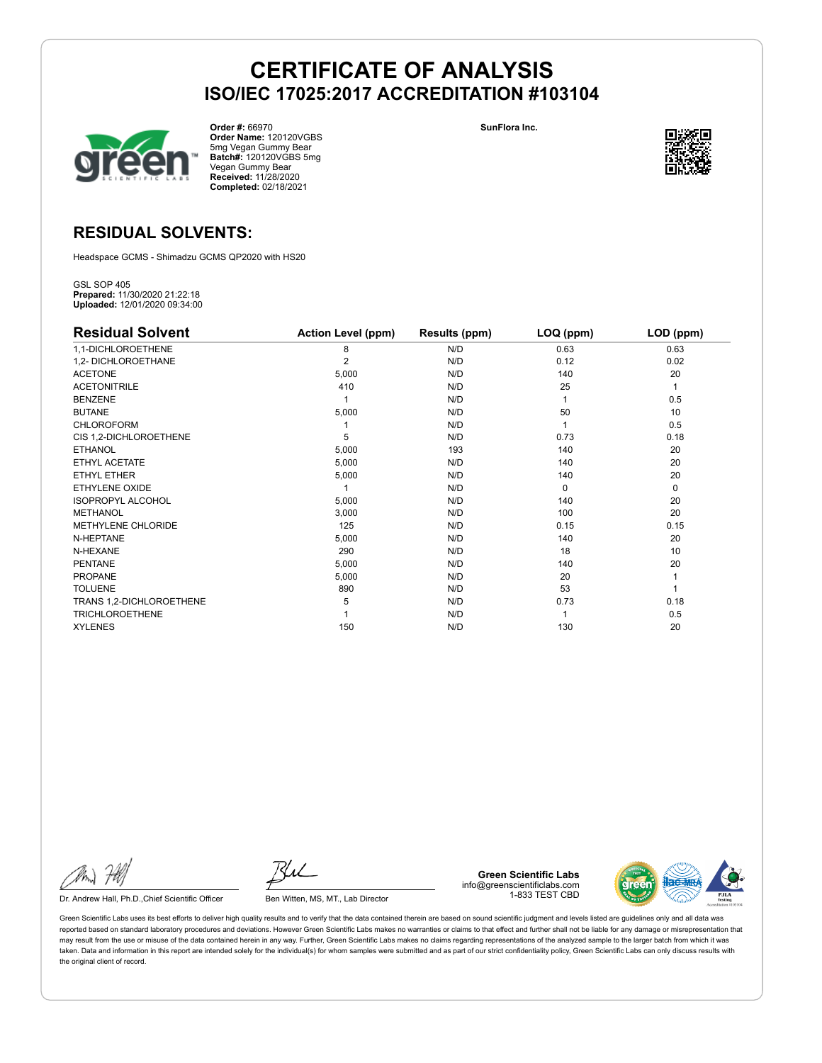

**Order #:** 66970 **Order Name:** 120120VGBS 5mg Vegan Gummy Bear **Batch#:** 120120VGBS 5mg Vegan Gummy Bear **Received:** 11/28/2020 **Completed:** 02/18/2021

**SunFlora Inc.**



### **RESIDUAL SOLVENTS:**

Headspace GCMS - Shimadzu GCMS QP2020 with HS20

GSL SOP 405 **Prepared:** 11/30/2020 21:22:18 **Uploaded:** 12/01/2020 09:34:00

| <b>Residual Solvent</b>   | <b>Action Level (ppm)</b> | Results (ppm) | LOQ (ppm) | LOD (ppm) |
|---------------------------|---------------------------|---------------|-----------|-----------|
| 1,1-DICHLOROETHENE        | 8                         | N/D           | 0.63      | 0.63      |
| 1,2- DICHLOROETHANE       | $\overline{2}$            | N/D           | 0.12      | 0.02      |
| <b>ACETONE</b>            | 5,000                     | N/D           | 140       | 20        |
| <b>ACETONITRILE</b>       | 410                       | N/D           | 25        | 1         |
| <b>BENZENE</b>            |                           | N/D           |           | 0.5       |
| <b>BUTANE</b>             | 5,000                     | N/D           | 50        | 10        |
| <b>CHLOROFORM</b>         |                           | N/D           |           | 0.5       |
| CIS 1,2-DICHLOROETHENE    | 5                         | N/D           | 0.73      | 0.18      |
| <b>ETHANOL</b>            | 5,000                     | 193           | 140       | 20        |
| ETHYL ACETATE             | 5,000                     | N/D           | 140       | 20        |
| ETHYL ETHER               | 5,000                     | N/D           | 140       | 20        |
| ETHYLENE OXIDE            |                           | N/D           | $\Omega$  | 0         |
| <b>ISOPROPYL ALCOHOL</b>  | 5,000                     | N/D           | 140       | 20        |
| METHANOL                  | 3,000                     | N/D           | 100       | 20        |
| <b>METHYLENE CHLORIDE</b> | 125                       | N/D           | 0.15      | 0.15      |
| N-HEPTANE                 | 5,000                     | N/D           | 140       | 20        |
| N-HEXANE                  | 290                       | N/D           | 18        | 10        |
| <b>PENTANE</b>            | 5,000                     | N/D           | 140       | 20        |
| <b>PROPANE</b>            | 5,000                     | N/D           | 20        |           |
| <b>TOLUENE</b>            | 890                       | N/D           | 53        |           |
| TRANS 1,2-DICHLOROETHENE  | 5                         | N/D           | 0.73      | 0.18      |
| <b>TRICHLOROETHENE</b>    |                           | N/D           |           | 0.5       |
| <b>XYLENES</b>            | 150                       | N/D           | 130       | 20        |

Dr. Andrew Hall, Ph.D., Chief Scientific Officer Ben Witten, MS, MT., Lab Director

**Green Scientific Labs** info@greenscientificlabs.com 1-833 TEST CBD

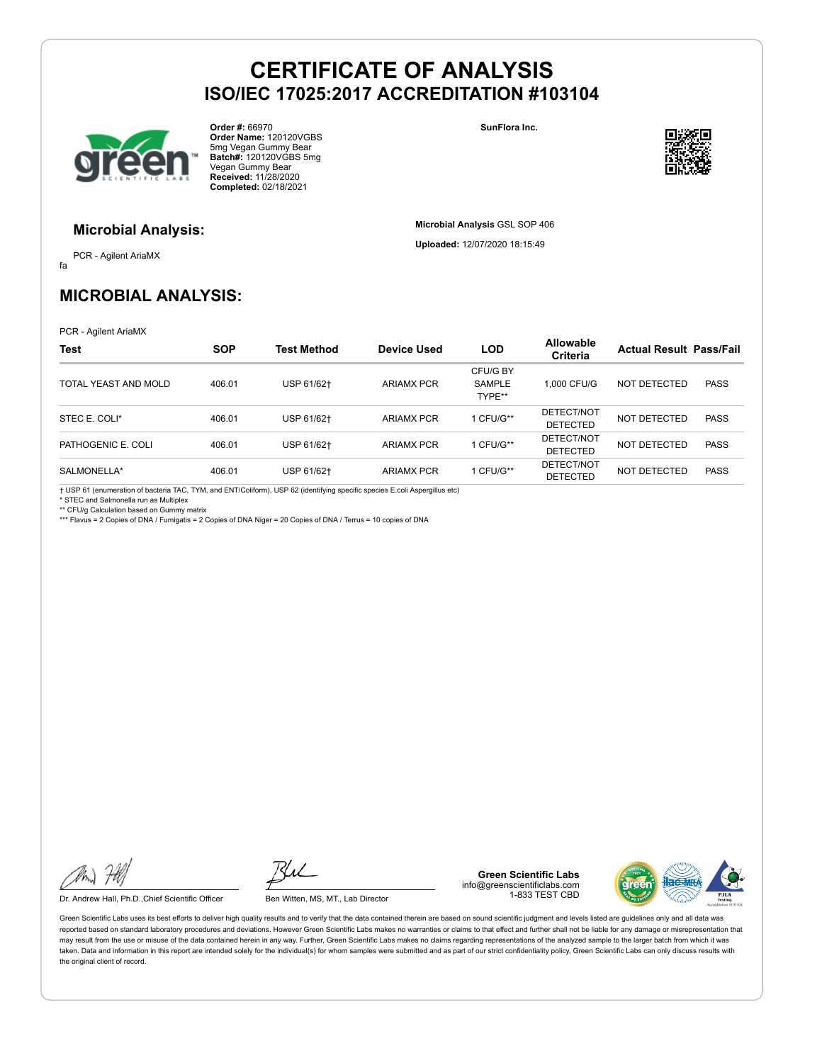

**Order #:** 66970 **Order Name:** 120120VGBS 5mg Vegan Gummy Bear **Batch#:** 120120VGBS 5mg Vegan Gummy Bear **Received:** 11/28/2020 **Completed:** 02/18/2021

**SunFlora Inc.**

**Microbial Analysis** GSL SOP 406 **Uploaded:** 12/07/2020 18:15:49



#### **Microbial Analysis:**

fa PCR - Agilent AriaMX

### **MICROBIAL ANALYSIS:**

PCR - Agilent AriaMX

| <b>Test</b>          | <b>SOP</b> | <b>Test Method</b> | Device Used       | <b>LOD</b>                   | <b>Allowable</b><br>Criteria  | <b>Actual Result Pass/Fail</b> |             |
|----------------------|------------|--------------------|-------------------|------------------------------|-------------------------------|--------------------------------|-------------|
| TOTAL YEAST AND MOLD | 406.01     | USP 61/62+         | <b>ARIAMX PCR</b> | CFU/G BY<br>SAMPLE<br>TYPE** | 1.000 CFU/G                   | NOT DETECTED                   | <b>PASS</b> |
| STEC E. COLI*        | 406.01     | USP 61/62+         | <b>ARIAMX PCR</b> | 1 CFU/G**                    | DETECT/NOT<br><b>DETECTED</b> | NOT DETECTED                   | <b>PASS</b> |
| PATHOGENIC E. COLI   | 406.01     | USP 61/62+         | <b>ARIAMX PCR</b> | 1 CFU/G**                    | DETECT/NOT<br><b>DETECTED</b> | NOT DETECTED                   | <b>PASS</b> |
| SALMONELLA*          | 406.01     | USP 61/62+         | <b>ARIAMX PCR</b> | 1 CFU/G**                    | DETECT/NOT<br><b>DETECTED</b> | <b>NOT DETECTED</b>            | <b>PASS</b> |

† USP 61 (enumeration of bacteria TAC, TYM, and ENT/Coliform), USP 62 (identifying specific species E.coli Aspergillus etc) \* STEC and Salmonella run as Multiplex

\*\* CFU/g Calculation based on Gummy matrix \*\*\* Flavus = 2 Copies of DNA / Fumigatis = 2 Copies of DNA Niger = 20 Copies of DNA / Terrus = 10 copies of DNA

Dr. Andrew Hall, Ph.D., Chief Scientific Officer Ben Witten, MS, MT., Lab Director

**Green Scientific Labs** info@greenscientificlabs.com 1-833 TEST CBD